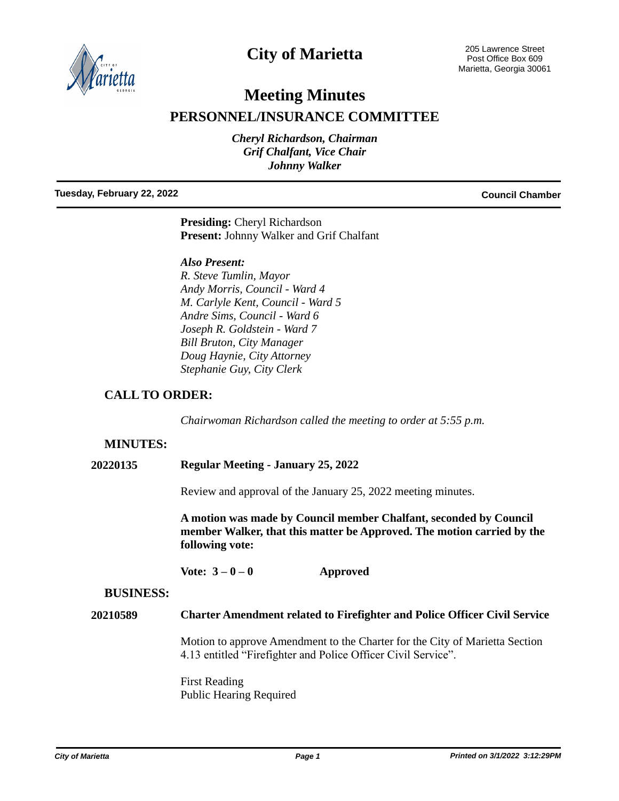

## **City of Marietta**

# **Meeting Minutes**

## **PERSONNEL/INSURANCE COMMITTEE**

*Cheryl Richardson, Chairman Grif Chalfant, Vice Chair Johnny Walker*

#### **Tuesday, February 22, 2022 Council Chamber**

**Presiding:** Cheryl Richardson **Present:** Johnny Walker and Grif Chalfant

#### *Also Present:*

*R. Steve Tumlin, Mayor Andy Morris, Council - Ward 4 M. Carlyle Kent, Council - Ward 5 Andre Sims, Council - Ward 6 Joseph R. Goldstein - Ward 7 Bill Bruton, City Manager Doug Haynie, City Attorney Stephanie Guy, City Clerk*

### **CALL TO ORDER:**

*Chairwoman Richardson called the meeting to order at 5:55 p.m.*

#### **MINUTES:**

**20220135 Regular Meeting - January 25, 2022**

Review and approval of the January 25, 2022 meeting minutes.

**A motion was made by Council member Chalfant, seconded by Council member Walker, that this matter be Approved. The motion carried by the following vote:**

**Vote: 3 – 0 – 0 Approved**

#### **BUSINESS:**

### **20210589 Charter Amendment related to Firefighter and Police Officer Civil Service**

Motion to approve Amendment to the Charter for the City of Marietta Section 4.13 entitled "Firefighter and Police Officer Civil Service".

First Reading Public Hearing Required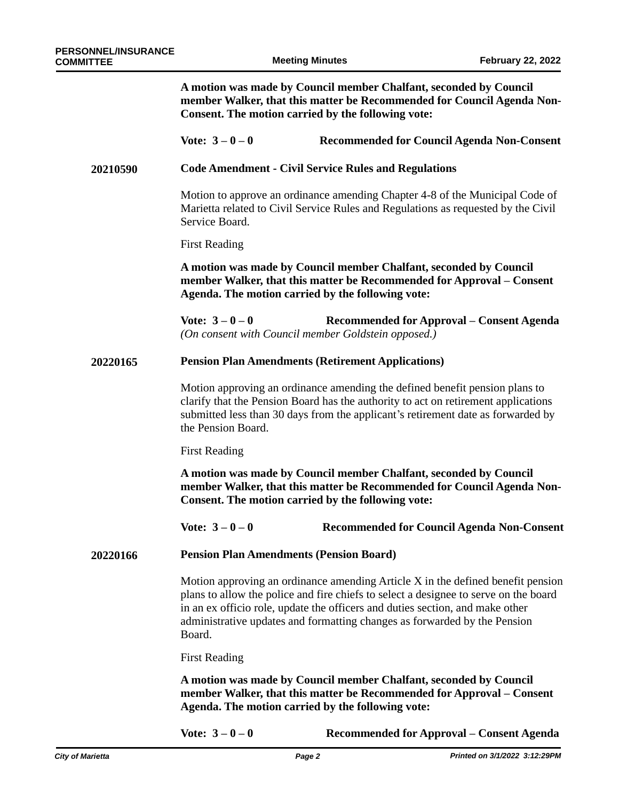**A motion was made by Council member Chalfant, seconded by Council member Walker, that this matter be Recommended for Council Agenda Non-Consent. The motion carried by the following vote:**

#### **Vote: 3 – 0 – 0 Recommended for Council Agenda Non-Consent**

#### **Code Amendment - Civil Service Rules and Regulations 20210590**

Motion to approve an ordinance amending Chapter 4-8 of the Municipal Code of Marietta related to Civil Service Rules and Regulations as requested by the Civil Service Board.

First Reading

**A motion was made by Council member Chalfant, seconded by Council member Walker, that this matter be Recommended for Approval – Consent Agenda. The motion carried by the following vote:**

**Vote: 3 – 0 – 0 Recommended for Approval – Consent Agenda** *(On consent with Council member Goldstein opposed.)*

#### **Pension Plan Amendments (Retirement Applications) 20220165**

Motion approving an ordinance amending the defined benefit pension plans to clarify that the Pension Board has the authority to act on retirement applications submitted less than 30 days from the applicant's retirement date as forwarded by the Pension Board.

First Reading

**A motion was made by Council member Chalfant, seconded by Council member Walker, that this matter be Recommended for Council Agenda Non-Consent. The motion carried by the following vote:**

**Vote: 3 – 0 – 0 Recommended for Council Agenda Non-Consent**

**Pension Plan Amendments (Pension Board) 20220166**

> Motion approving an ordinance amending Article X in the defined benefit pension plans to allow the police and fire chiefs to select a designee to serve on the board in an ex officio role, update the officers and duties section, and make other administrative updates and formatting changes as forwarded by the Pension Board.

First Reading

**A motion was made by Council member Chalfant, seconded by Council member Walker, that this matter be Recommended for Approval – Consent Agenda. The motion carried by the following vote:**

**Vote: 3 – 0 – 0 Recommended for Approval – Consent Agenda**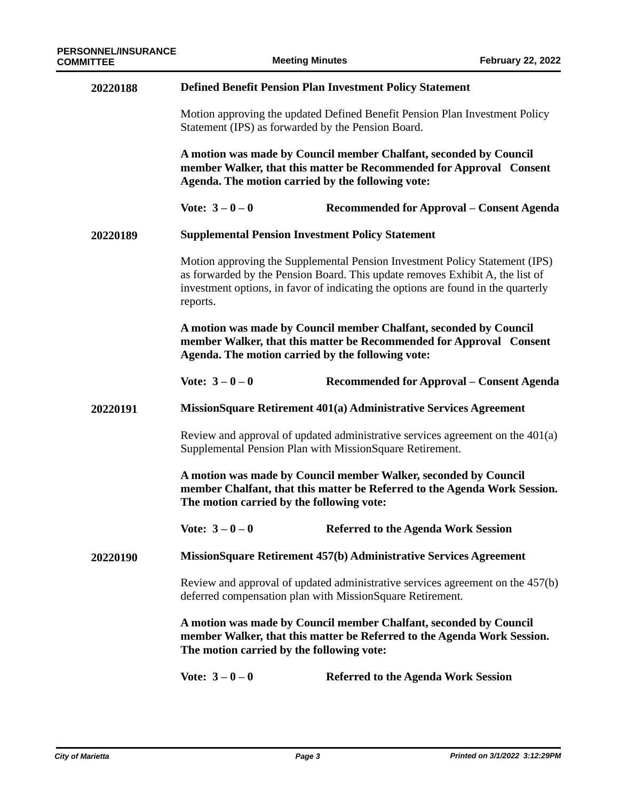| 20220188 | <b>Defined Benefit Pension Plan Investment Policy Statement</b>                                                                                                                                                                                               |                                                                                                                                                                                           |  |
|----------|---------------------------------------------------------------------------------------------------------------------------------------------------------------------------------------------------------------------------------------------------------------|-------------------------------------------------------------------------------------------------------------------------------------------------------------------------------------------|--|
|          | Motion approving the updated Defined Benefit Pension Plan Investment Policy<br>Statement (IPS) as forwarded by the Pension Board.                                                                                                                             |                                                                                                                                                                                           |  |
|          | A motion was made by Council member Chalfant, seconded by Council<br>member Walker, that this matter be Recommended for Approval Consent<br>Agenda. The motion carried by the following vote:                                                                 |                                                                                                                                                                                           |  |
|          | Vote: $3 - 0 - 0$                                                                                                                                                                                                                                             | Recommended for Approval – Consent Agenda                                                                                                                                                 |  |
| 20220189 | <b>Supplemental Pension Investment Policy Statement</b>                                                                                                                                                                                                       |                                                                                                                                                                                           |  |
|          | Motion approving the Supplemental Pension Investment Policy Statement (IPS)<br>as forwarded by the Pension Board. This update removes Exhibit A, the list of<br>investment options, in favor of indicating the options are found in the quarterly<br>reports. |                                                                                                                                                                                           |  |
|          | Agenda. The motion carried by the following vote:                                                                                                                                                                                                             | A motion was made by Council member Chalfant, seconded by Council<br>member Walker, that this matter be Recommended for Approval Consent                                                  |  |
|          | Vote: $3 - 0 - 0$                                                                                                                                                                                                                                             | Recommended for Approval – Consent Agenda                                                                                                                                                 |  |
| 20220191 | MissionSquare Retirement 401(a) Administrative Services Agreement                                                                                                                                                                                             |                                                                                                                                                                                           |  |
|          | Review and approval of updated administrative services agreement on the $401(a)$<br>Supplemental Pension Plan with MissionSquare Retirement.                                                                                                                  |                                                                                                                                                                                           |  |
|          | A motion was made by Council member Walker, seconded by Council<br>member Chalfant, that this matter be Referred to the Agenda Work Session.<br>The motion carried by the following vote:                                                                     |                                                                                                                                                                                           |  |
|          | Vote: $3 - 0 - 0$                                                                                                                                                                                                                                             | <b>Referred to the Agenda Work Session</b>                                                                                                                                                |  |
| 20220190 | MissionSquare Retirement 457(b) Administrative Services Agreement                                                                                                                                                                                             |                                                                                                                                                                                           |  |
|          | Review and approval of updated administrative services agreement on the 457(b)<br>deferred compensation plan with MissionSquare Retirement.                                                                                                                   |                                                                                                                                                                                           |  |
|          |                                                                                                                                                                                                                                                               | A motion was made by Council member Chalfant, seconded by Council<br>member Walker, that this matter be Referred to the Agenda Work Session.<br>The motion carried by the following vote: |  |
|          | Vote: $3 - 0 - 0$                                                                                                                                                                                                                                             | <b>Referred to the Agenda Work Session</b>                                                                                                                                                |  |